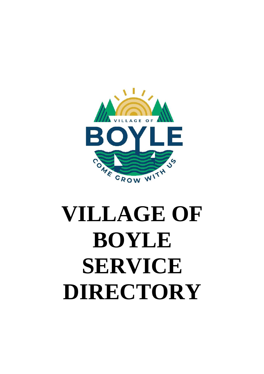

# **VILLAGE OF BOYLE SERVICE DIRECTORY**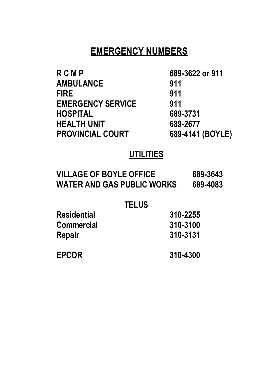# **EMERGENCY NUMBERS**

| RCMP                     | 689-3622 or 911  |
|--------------------------|------------------|
| <b>AMBULANCE</b>         | 911              |
| FIRE                     | 911              |
| <b>EMERGENCY SERVICE</b> | 911              |
| HOSPITAL                 | 689-3731         |
| HEALTH UNIT              | 689-2677         |
| <b>PROVINCIAL COURT</b>  | 689-4141 (BOYLE) |
|                          |                  |

# **UTILITIES**

| <b>VILLAGE OF BOYLE OFFICE</b> | 689-3643 |
|--------------------------------|----------|
| WATER AND GAS PUBLIC WORKS     | 689-4083 |

# **TELUS**

| <b>Residential</b> | 310-2255 |
|--------------------|----------|
| <b>Commercial</b>  | 310-3100 |
| Repair             | 310-3131 |
| <b>EPCOR</b>       | 310-4300 |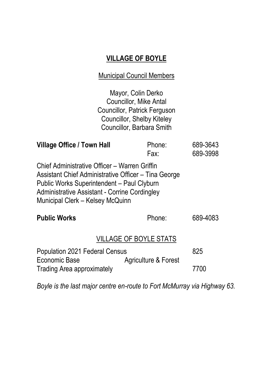# **VILLAGE OF BOYLE**

#### Municipal Council Members

Mayor, Colin Derko Councillor, Mike Antal Councillor, Patrick Ferguson Councillor, Shelby Kiteley Councillor, Barbara Smith

| Village Office / Town Hall                                                                                                                                                                                                               | Phone:<br>Fax:       | 689-3643<br>689-3998 |
|------------------------------------------------------------------------------------------------------------------------------------------------------------------------------------------------------------------------------------------|----------------------|----------------------|
| Chief Administrative Officer - Warren Griffin<br>Assistant Chief Administrative Officer - Tina George<br>Public Works Superintendent - Paul Clyburn<br>Administrative Assistant - Corrine Cordingley<br>Municipal Clerk - Kelsey McQuinn |                      |                      |
| <b>Public Works</b>                                                                                                                                                                                                                      | Phone:               | 689-4083             |
| <b>VILLAGE OF BOYLE STATS</b>                                                                                                                                                                                                            |                      |                      |
| Population 2021 Federal Census<br>Economic Base                                                                                                                                                                                          | Agriculture & Forest | 825                  |
| <b>Trading Area approximately</b>                                                                                                                                                                                                        |                      | 7700                 |

*Boyle is the last major centre en-route to Fort McMurray via Highway 63.*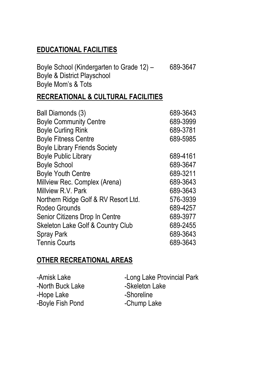## **EDUCATIONAL FACILITIES**

| Boyle School (Kindergarten to Grade 12) - | 689-3647 |
|-------------------------------------------|----------|
| Boyle & District Playschool               |          |
| Boyle Mom's & Tots                        |          |

#### **RECREATIONAL & CULTURAL FACILITIES**

| Ball Diamonds (3)                    | 689-3643 |
|--------------------------------------|----------|
| <b>Boyle Community Centre</b>        | 689-3999 |
| <b>Boyle Curling Rink</b>            | 689-3781 |
| <b>Boyle Fitness Centre</b>          | 689-5985 |
| <b>Boyle Library Friends Society</b> |          |
| <b>Boyle Public Library</b>          | 689-4161 |
| <b>Boyle School</b>                  | 689-3647 |
| <b>Boyle Youth Centre</b>            | 689-3211 |
| Millview Rec. Complex (Arena)        | 689-3643 |
| Millview R.V. Park                   | 689-3643 |
| Northern Ridge Golf & RV Resort Ltd. | 576-3939 |
| Rodeo Grounds                        | 689-4257 |
| Senior Citizens Drop In Centre       | 689-3977 |
| Skeleton Lake Golf & Country Club    | 689-2455 |
| Spray Park                           | 689-3643 |
| <b>Tennis Courts</b>                 | 689-3643 |

## **OTHER RECREATIONAL AREAS**

| -Amisk Lake      | -Long Lake Provincial Park |
|------------------|----------------------------|
| -North Buck Lake | -Skeleton Lake             |
| -Hope Lake       | -Shoreline                 |
| -Boyle Fish Pond | -Chump Lake                |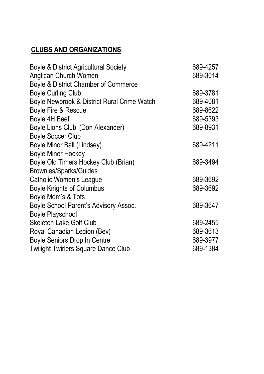# **CLUBS AND ORGANIZATIONS**

| <b>Boyle &amp; District Agricultural Society</b> | 689-4257 |
|--------------------------------------------------|----------|
| Anglican Church Women                            | 689-3014 |
| Boyle & District Chamber of Commerce             |          |
| <b>Boyle Curling Club</b>                        | 689-3781 |
| Boyle Newbrook & District Rural Crime Watch      | 689-4081 |
| Boyle Fire & Rescue                              | 689-8622 |
| Boyle 4H Beef                                    | 689-5393 |
| Boyle Lions Club (Don Alexander)                 | 689-8931 |
| <b>Boyle Soccer Club</b>                         |          |
| Boyle Minor Ball (Lindsey)                       | 689-4211 |
| <b>Boyle Minor Hockey</b>                        |          |
| Boyle Old Timers Hockey Club (Brian)             | 689-3494 |
| <b>Brownies/Sparks/Guides</b>                    |          |
| Catholic Women's League                          | 689-3692 |
| <b>Boyle Knights of Columbus</b>                 | 689-3692 |
| Boyle Mom's & Tots                               |          |
| Boyle School Parent's Advisory Assoc.            | 689-3647 |
| <b>Boyle Playschool</b>                          |          |
| <b>Skeleton Lake Golf Club</b>                   | 689-2455 |
| Royal Canadian Legion (Bev)                      | 689-3613 |
| Boyle Seniors Drop In Centre                     | 689-3977 |
| <b>Twilight Twirlers Square Dance Club</b>       | 689-1384 |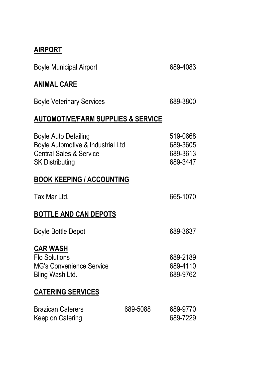#### **AIRPORT**

| <b>Boyle Municipal Airport</b>                                                                                                   |          | 689-4083                                     |
|----------------------------------------------------------------------------------------------------------------------------------|----------|----------------------------------------------|
| <b>ANIMAL CARE</b>                                                                                                               |          |                                              |
| <b>Boyle Veterinary Services</b>                                                                                                 |          | 689-3800                                     |
| <b>AUTOMOTIVE/FARM SUPPLIES &amp; SERVICE</b>                                                                                    |          |                                              |
| <b>Boyle Auto Detailing</b><br>Boyle Automotive & Industrial Ltd<br><b>Central Sales &amp; Service</b><br><b>SK Distributing</b> |          | 519-0668<br>689-3605<br>689-3613<br>689-3447 |
| <b>BOOK KEEPING / ACCOUNTING</b>                                                                                                 |          |                                              |
| Tax Mar Ltd.                                                                                                                     |          | 665-1070                                     |
| <b>BOTTLE AND CAN DEPOTS</b>                                                                                                     |          |                                              |
| <b>Boyle Bottle Depot</b>                                                                                                        |          | 689-3637                                     |
| <b>CAR WASH</b><br><b>Flo Solutions</b><br><b>MG's Convenience Service</b><br>Bling Wash Ltd.                                    |          | 689-2189<br>689-4110<br>689-9762             |
| <b>CATERING SERVICES</b>                                                                                                         |          |                                              |
| <b>Brazican Caterers</b><br>Keep on Catering                                                                                     | 689-5088 | 689-9770<br>689-7229                         |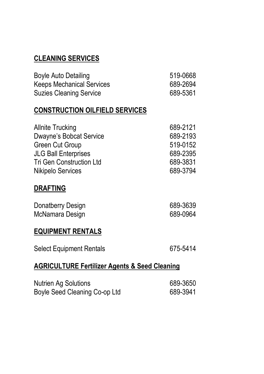## **CLEANING SERVICES**

| <b>Boyle Auto Detailing</b>           | 519-0668 |
|---------------------------------------|----------|
| <b>Keeps Mechanical Services</b>      | 689-2694 |
| <b>Suzies Cleaning Service</b>        | 689-5361 |
| <b>CONSTRUCTION OILFIELD SERVICES</b> |          |
| <b>Allnite Trucking</b>               | 689-2121 |
| <b>Dwayne's Bobcat Service</b>        | 689-2193 |
| Green Cut Group                       | 519-0152 |
| <b>JLG Ball Enterprises</b>           | 689-2395 |
| <b>Tri Gen Construction Ltd</b>       | 689-3831 |
| <b>Nikipelo Services</b>              | 689-3794 |

#### **DRAFTING**

| Donatberry Design | 689-3639 |
|-------------------|----------|
| McNamara Design   | 689-0964 |

#### **EQUIPMENT RENTALS**

| <b>Select Equipment Rentals</b> | 675-5414 |
|---------------------------------|----------|
|---------------------------------|----------|

## **AGRICULTURE Fertilizer Agents & Seed Cleaning**

| <b>Nutrien Ag Solutions</b>   | 689-3650 |
|-------------------------------|----------|
| Boyle Seed Cleaning Co-op Ltd | 689-3941 |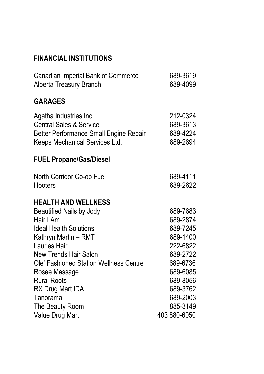# **FINANCIAL INSTITUTIONS**

| Canadian Imperial Bank of Commerce<br>Alberta Treasury Branch                                                                            | 689-3619<br>689-4099                         |
|------------------------------------------------------------------------------------------------------------------------------------------|----------------------------------------------|
| <b>GARAGES</b>                                                                                                                           |                                              |
| Agatha Industries Inc.<br><b>Central Sales &amp; Service</b><br>Better Performance Small Engine Repair<br>Keeps Mechanical Services Ltd. | 212-0324<br>689-3613<br>689-4224<br>689-2694 |
| <b>FUEL Propane/Gas/Diesel</b>                                                                                                           |                                              |
| North Corridor Co-op Fuel<br>Hooters                                                                                                     | 689-4111<br>689-2622                         |
| <b>HEALTH AND WELLNESS</b>                                                                                                               |                                              |
| <b>Beautified Nails by Jody</b>                                                                                                          | 689-7683                                     |
| Hair I Am                                                                                                                                | 689-2874                                     |
| <b>Ideal Health Solutions</b>                                                                                                            | 689-7245                                     |
| Kathryn Martin - RMT                                                                                                                     | 689-1400                                     |
| Lauries Hair                                                                                                                             | 222-6822                                     |
| New Trends Hair Salon                                                                                                                    | 689-2722                                     |
| Ole' Fashioned Station Wellness Centre                                                                                                   | 689-6736                                     |
| Rosee Massage                                                                                                                            | 689-6085                                     |
| <b>Rural Roots</b>                                                                                                                       | 689-8056                                     |
| RX Drug Mart IDA                                                                                                                         | 689-3762                                     |
| Tanorama                                                                                                                                 | 689-2003<br>885-3149                         |
| The Beauty Room<br>Value Drug Mart                                                                                                       | 403 880-6050                                 |
|                                                                                                                                          |                                              |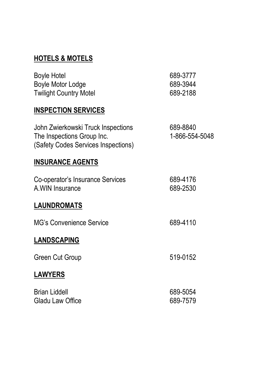# **HOTELS & MOTELS**

| <b>Boyle Hotel</b><br><b>Boyle Motor Lodge</b><br><b>Twilight Country Motel</b>                         | 689-3777<br>689-3944<br>689-2188 |
|---------------------------------------------------------------------------------------------------------|----------------------------------|
| <b>INSPECTION SERVICES</b>                                                                              |                                  |
| John Zwierkowski Truck Inspections<br>The Inspections Group Inc.<br>(Safety Codes Services Inspections) | 689-8840<br>1-866-554-5048       |
| <b>INSURANCE AGENTS</b>                                                                                 |                                  |
| Co-operator's Insurance Services<br>A.WIN Insurance                                                     | 689-4176<br>689-2530             |
| <b>LAUNDROMATS</b>                                                                                      |                                  |
| <b>MG's Convenience Service</b>                                                                         | 689-4110                         |
| <b>LANDSCAPING</b>                                                                                      |                                  |
| Green Cut Group                                                                                         | 519-0152                         |
| <b>LAWYERS</b>                                                                                          |                                  |
| <b>Brian Liddell</b><br>Gladu Law Office                                                                | 689-5054<br>689-7579             |
|                                                                                                         |                                  |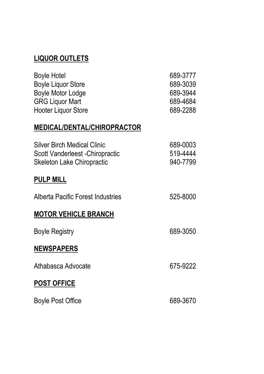## **LIQUOR OUTLETS**

| Boyle Hotel            | 689-3777 |
|------------------------|----------|
| Boyle Liquor Store     | 689-3039 |
| Boyle Motor Lodge      | 689-3944 |
| <b>GRG Liquor Mart</b> | 689-4684 |
| Hooter Liquor Store    | 689-2288 |

#### **MEDICAL/DENTAL/CHIROPRACTOR**

| Silver Birch Medical Clinic<br>Scott Vanderleest - Chiropractic<br>Skeleton Lake Chiropractic | 689-0003<br>519-4444<br>940-7799 |
|-----------------------------------------------------------------------------------------------|----------------------------------|
| <b>PULP MILL</b>                                                                              |                                  |
| Alberta Pacific Forest Industries                                                             | 525-8000                         |
| <b>MOTOR VEHICLE BRANCH</b>                                                                   |                                  |
| <b>Boyle Registry</b>                                                                         | 689-3050                         |
| <b>NEWSPAPERS</b>                                                                             |                                  |
| Athabasca Advocate                                                                            | 675-9222                         |
| <b>POST OFFICE</b>                                                                            |                                  |
| Boyle Post Office                                                                             | 689-3670                         |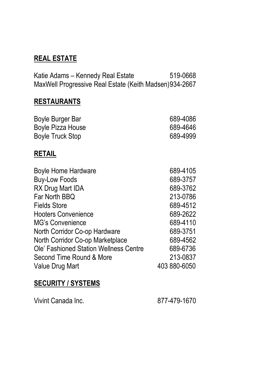## **REAL ESTATE**

Katie Adams – Kennedy Real Estate 519-0668 MaxWell Progressive Real Estate (Keith Madsen)934-2667

#### **RESTAURANTS**

| Boyle Burger Bar  | 689-4086 |
|-------------------|----------|
| Boyle Pizza House | 689-4646 |
| Boyle Truck Stop  | 689-4999 |

#### **RETAIL**

| 689-4105     |
|--------------|
| 689-3757     |
| 689-3762     |
| 213-0786     |
| 689-4512     |
| 689-2622     |
| 689-4110     |
| 689-3751     |
| 689-4562     |
| 689-6736     |
| 213-0837     |
| 403 880-6050 |
|              |

#### **SECURITY / SYSTEMS**

Vivint Canada Inc. 877-479-1670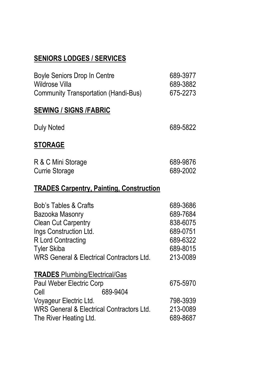# **SENIORS LODGES / SERVICES**

| Boyle Seniors Drop In Centre<br>Wildrose Villa<br><b>Community Transportation (Handi-Bus)</b>                                                                                                        | 689-3977<br>689-3882<br>675-2273                                                 |
|------------------------------------------------------------------------------------------------------------------------------------------------------------------------------------------------------|----------------------------------------------------------------------------------|
| <b>SEWING / SIGNS /FABRIC</b>                                                                                                                                                                        |                                                                                  |
| Duly Noted                                                                                                                                                                                           | 689-5822                                                                         |
| <b>STORAGE</b>                                                                                                                                                                                       |                                                                                  |
| R & C Mini Storage<br>Currie Storage                                                                                                                                                                 | 689-9876<br>689-2002                                                             |
| <b>TRADES Carpentry, Painting, Construction</b>                                                                                                                                                      |                                                                                  |
| <b>Bob's Tables &amp; Crafts</b><br>Bazooka Masonry<br><b>Clean Cut Carpentry</b><br>Ings Construction Ltd.<br>R Lord Contracting<br><b>Tyler Skiba</b><br>WRS General & Electrical Contractors Ltd. | 689-3686<br>689-7684<br>838-6075<br>689-0751<br>689-6322<br>689-8015<br>213-0089 |
| <b>TRADES Plumbing/Electrical/Gas</b><br>Paul Weber Electric Corp<br>689-9404<br>Cell                                                                                                                | 675-5970                                                                         |
| Voyageur Electric Ltd.<br>WRS General & Electrical Contractors Ltd.<br>The River Heating Ltd.                                                                                                        | 798-3939<br>213-0089<br>689-8687                                                 |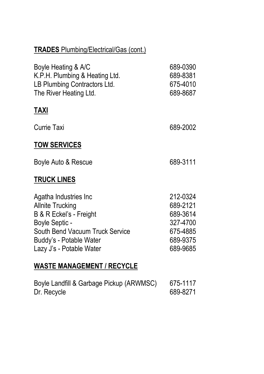| <b>TRADES</b> Plumbing/Electrical/Gas (cont.)                                                                                                                                                  |                                                                                  |
|------------------------------------------------------------------------------------------------------------------------------------------------------------------------------------------------|----------------------------------------------------------------------------------|
| Boyle Heating & A/C<br>K.P.H. Plumbing & Heating Ltd.<br>LB Plumbing Contractors Ltd.<br>The River Heating Ltd.                                                                                | 689-0390<br>689-8381<br>675-4010<br>689-8687                                     |
| <u>TAXI</u>                                                                                                                                                                                    |                                                                                  |
| Currie Taxi                                                                                                                                                                                    | 689-2002                                                                         |
| <b>TOW SERVICES</b>                                                                                                                                                                            |                                                                                  |
| Boyle Auto & Rescue                                                                                                                                                                            | 689-3111                                                                         |
| <b>TRUCK LINES</b>                                                                                                                                                                             |                                                                                  |
| Agatha Industries Inc<br><b>Allnite Trucking</b><br>B & R Eckel's - Freight<br><b>Boyle Septic -</b><br>South Bend Vacuum Truck Service<br>Buddy's - Potable Water<br>Lazy J's - Potable Water | 212-0324<br>689-2121<br>689-3614<br>327-4700<br>675-4885<br>689-9375<br>689-9685 |
|                                                                                                                                                                                                |                                                                                  |

# **WASTE MANAGEMENT / RECYCLE**

| Boyle Landfill & Garbage Pickup (ARWMSC) | 675-1117 |
|------------------------------------------|----------|
| Dr. Recycle                              | 689-8271 |